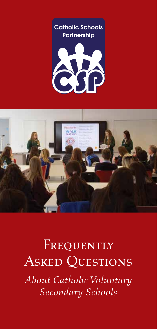





## FREQUENTLY Asked Questions

*About Catholic Voluntary Secondary Schools*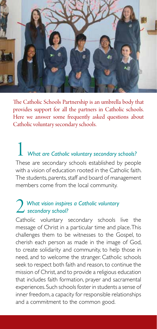

The Catholic Schools Partnership is an umbrella body that provides support for all the partners in Catholic schools. Here we answer some frequently asked questions about Catholic voluntary secondary schools.

1 *What are Catholic voluntary secondary schools?* These are secondary schools established by people with a vision of education rooted in the Catholic faith. The students, parents, staff and board of management members come from the local community.

#### 2 *What vision inspires a Catholic voluntary*<br>
Setholic voluntary cocondary orbacle *secondary school?*

Catholic voluntary secondary schools live the message of Christ in a particular time and place. This challenges them to be witnesses to the Gospel, to cherish each person as made in the image of God, to create solidarity and community, to help those in need, and to welcome the stranger. Catholic schools seek to respect both faith and reason, to continue the mission of Christ, and to provide a religious education that includes faith formation, prayer and sacramental experiences. Such schools foster in students a sense of inner freedom, a capacity for responsible relationships and a commitment to the common good.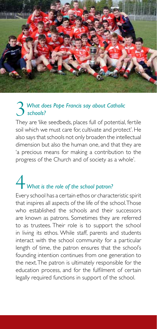

#### 3 *What does Pope Francis say about Catholic schools? schools?*

They are 'like seedbeds, places full of potential, fertile soil which we must care for, cultivate and protect'. He also says that schools not only broaden the intellectual dimension but also the human one, and that they are 'a precious means for making a contribution to the progress of the Church and of society as a whole'.

# 4 *What is the role of the school patron?*

Every school has a certain ethos or characteristic spirit that inspires all aspects of the life of the school. Those who established the schools and their successors are known as patrons. Sometimes they are referred to as trustees. Their role is to support the school in living its ethos. While staff, parents and students interact with the school community for a particular length of time, the patron ensures that the school's founding intention continues from one generation to the next. The patron is ultimately responsible for the education process, and for the fulfilment of certain legally required functions in support of the school.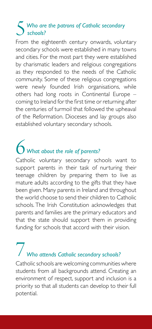#### 5 Who are the patrons of Catholic secondary<br>
schools?<br>
From the eighteenth century environg value *schools?*

From the eighteenth century onwards, voluntary secondary schools were established in many towns and cities. For the most part they were established by charismatic leaders and religious congregations as they responded to the needs of the Catholic community. Some of these religious congregations were newly founded Irish organisations, while others had long roots in Continental Europe – coming to Ireland for the first time or returning after the centuries of turmoil that followed the upheaval of the Reformation. Dioceses and lay groups also established voluntary secondary schools.

## 6 *What about the role of parents?*

Catholic voluntary secondary schools want to support parents in their task of nurturing their teenage children by preparing them to live as mature adults according to the gifts that they have been given. Many parents in Ireland and throughout the world choose to send their children to Catholic schools. The Irish Constitution acknowledges that parents and families are the primary educators and that the state should support them in providing funding for schools that accord with their vision.

# 7 *Who attends Catholic secondary schools?*

Catholic schools are welcoming communities where students from all backgrounds attend. Creating an environment of respect, support and inclusion is a priority so that all students can develop to their full potential.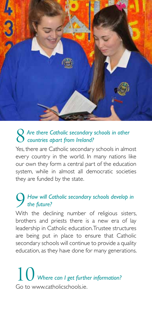

#### 8 *Are there Catholic secondary schools in other countries apart from Ireland?*

Yes, there are Catholic secondary schools in almost every country in the world. In many nations like our own they form a central part of the education system, while in almost all democratic societies they are funded by the state.

#### 9 *How will Catholic secondary schools develop in the future?*

With the declining number of religious sisters, brothers and priests there is a new era of lay leadership in Catholic education. Trustee structures are being put in place to ensure that Catholic secondary schools will continue to provide a quality education, as they have done for many generations.

10 *Where can I get further information?* Go to www.catholicschools.ie.